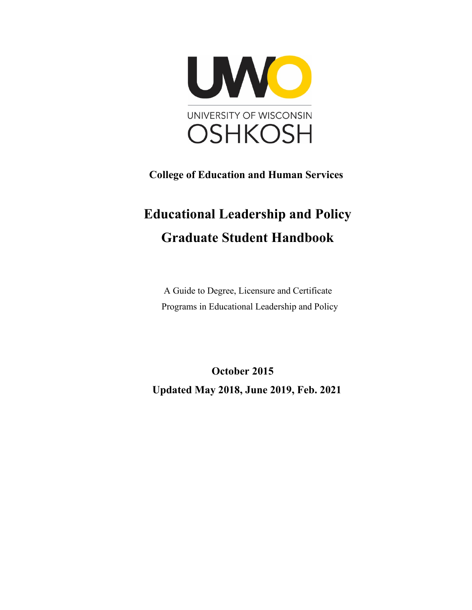

 **College of Education and Human Services**

# **Educational Leadership and Policy Graduate Student Handbook**

 A Guide to Degree, Licensure and Certificate Programs in Educational Leadership and Policy

 **October 2015 Updated May 2018, June 2019, Feb. 2021**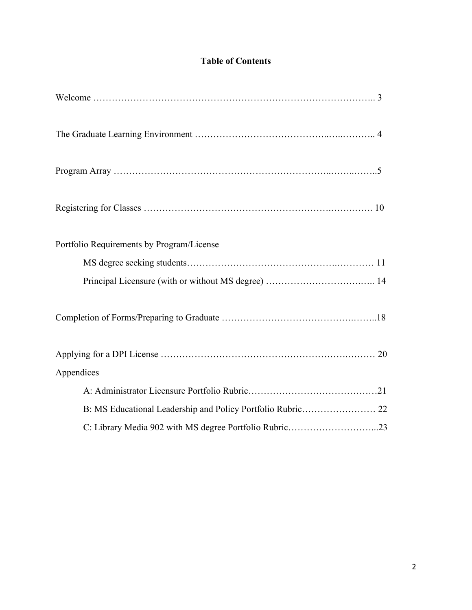# **Table of Contents**

| Portfolio Requirements by Program/License                   |
|-------------------------------------------------------------|
|                                                             |
|                                                             |
|                                                             |
|                                                             |
| Appendices                                                  |
|                                                             |
| B: MS Educational Leadership and Policy Portfolio Rubric 22 |
| C: Library Media 902 with MS degree Portfolio Rubric23      |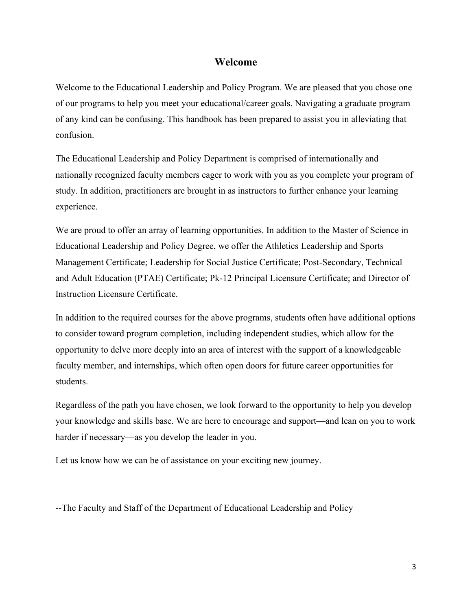#### **Welcome**

Welcome to the Educational Leadership and Policy Program. We are pleased that you chose one of our programs to help you meet your educational/career goals. Navigating a graduate program of any kind can be confusing. This handbook has been prepared to assist you in alleviating that confusion.

The Educational Leadership and Policy Department is comprised of internationally and nationally recognized faculty members eager to work with you as you complete your program of study. In addition, practitioners are brought in as instructors to further enhance your learning experience.

We are proud to offer an array of learning opportunities. In addition to the Master of Science in Educational Leadership and Policy Degree, we offer the Athletics Leadership and Sports Management Certificate; Leadership for Social Justice Certificate; Post-Secondary, Technical and Adult Education (PTAE) Certificate; Pk-12 Principal Licensure Certificate; and Director of Instruction Licensure Certificate.

In addition to the required courses for the above programs, students often have additional options to consider toward program completion, including independent studies, which allow for the opportunity to delve more deeply into an area of interest with the support of a knowledgeable faculty member, and internships, which often open doors for future career opportunities for students.

Regardless of the path you have chosen, we look forward to the opportunity to help you develop your knowledge and skills base. We are here to encourage and support—and lean on you to work harder if necessary—as you develop the leader in you.

Let us know how we can be of assistance on your exciting new journey.

--The Faculty and Staff of the Department of Educational Leadership and Policy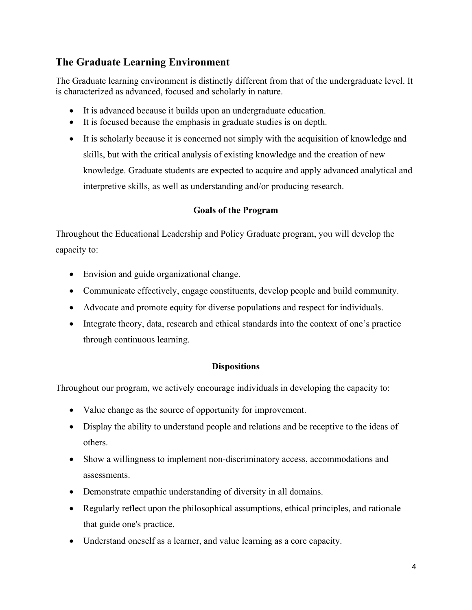# **The Graduate Learning Environment**

The Graduate learning environment is distinctly different from that of the undergraduate level. It is characterized as advanced, focused and scholarly in nature.

- It is advanced because it builds upon an undergraduate education.
- It is focused because the emphasis in graduate studies is on depth.
- It is scholarly because it is concerned not simply with the acquisition of knowledge and skills, but with the critical analysis of existing knowledge and the creation of new knowledge. Graduate students are expected to acquire and apply advanced analytical and interpretive skills, as well as understanding and/or producing research.

## **Goals of the Program**

Throughout the Educational Leadership and Policy Graduate program, you will develop the capacity to:

- Envision and guide organizational change.
- Communicate effectively, engage constituents, develop people and build community.
- Advocate and promote equity for diverse populations and respect for individuals.
- Integrate theory, data, research and ethical standards into the context of one's practice through continuous learning.

## **Dispositions**

Throughout our program, we actively encourage individuals in developing the capacity to:

- Value change as the source of opportunity for improvement.
- Display the ability to understand people and relations and be receptive to the ideas of others.
- Show a willingness to implement non-discriminatory access, accommodations and assessments.
- Demonstrate empathic understanding of diversity in all domains.
- Regularly reflect upon the philosophical assumptions, ethical principles, and rationale that guide one's practice.
- Understand oneself as a learner, and value learning as a core capacity.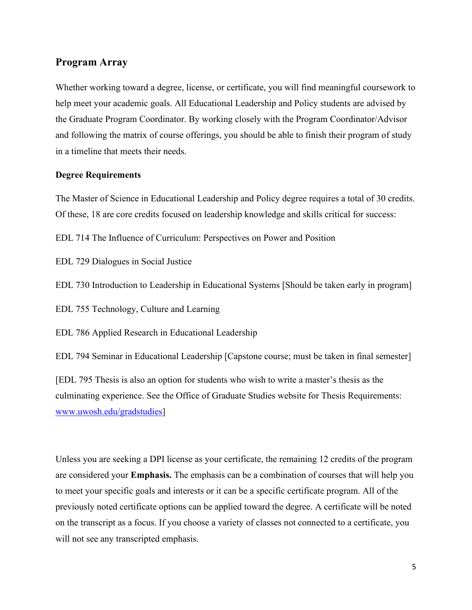## **Program Array**

Whether working toward a degree, license, or certificate, you will find meaningful coursework to help meet your academic goals. All Educational Leadership and Policy students are advised by the Graduate Program Coordinator. By working closely with the Program Coordinator/Advisor and following the matrix of course offerings, you should be able to finish their program of study in a timeline that meets their needs.

#### **Degree Requirements**

The Master of Science in Educational Leadership and Policy degree requires a total of 30 credits. Of these, 18 are core credits focused on leadership knowledge and skills critical for success:

EDL 714 The Influence of Curriculum: Perspectives on Power and Position

EDL 729 Dialogues in Social Justice

EDL 730 Introduction to Leadership in Educational Systems [Should be taken early in program]

EDL 755 Technology, Culture and Learning

EDL 786 Applied Research in Educational Leadership

EDL 794 Seminar in Educational Leadership [Capstone course; must be taken in final semester]

[EDL 795 Thesis is also an option for students who wish to write a master's thesis as the culminating experience. See the Office of Graduate Studies website for Thesis Requirements: [www.uwosh.edu/gradstudies\]](http://www.uwosh.edu/gradstudies)

Unless you are seeking a DPI license as your certificate, the remaining 12 credits of the program are considered your **Emphasis.** The emphasis can be a combination of courses that will help you to meet your specific goals and interests or it can be a specific certificate program. All of the previously noted certificate options can be applied toward the degree. A certificate will be noted on the transcript as a focus. If you choose a variety of classes not connected to a certificate, you will not see any transcripted emphasis.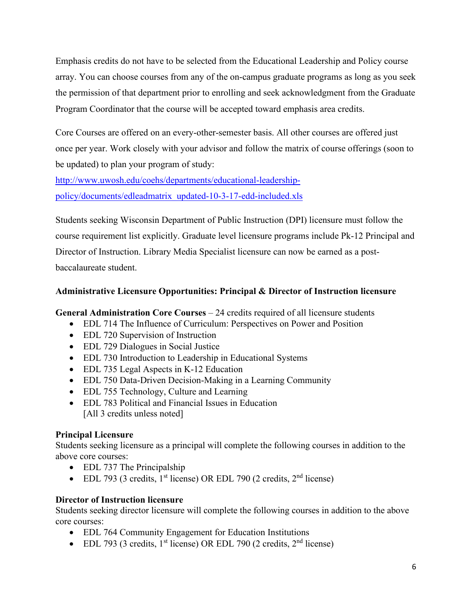Emphasis credits do not have to be selected from the Educational Leadership and Policy course array. You can choose courses from any of the on-campus graduate programs as long as you seek the permission of that department prior to enrolling and seek acknowledgment from the Graduate Program Coordinator that the course will be accepted toward emphasis area credits.

Core Courses are offered on an every-other-semester basis. All other courses are offered just once per year. Work closely with your advisor and follow the matrix of course offerings (soon to be updated) to plan your program of study:

[http://www.uwosh.edu/coehs/departments/educational-leadership](http://www.uwosh.edu/coehs/departments/educational-leadership-policy/documents/edleadmatrix_updated-10-3-17-edd-included.xls)[policy/documents/edleadmatrix\\_updated-10-3-17-edd-included.xls](http://www.uwosh.edu/coehs/departments/educational-leadership-policy/documents/edleadmatrix_updated-10-3-17-edd-included.xls)

Students seeking Wisconsin Department of Public Instruction (DPI) licensure must follow the course requirement list explicitly. Graduate level licensure programs include Pk-12 Principal and Director of Instruction. Library Media Specialist licensure can now be earned as a postbaccalaureate student.

## **Administrative Licensure Opportunities: Principal & Director of Instruction licensure**

**General Administration Core Courses** – 24 credits required of all licensure students

- EDL 714 The Influence of Curriculum: Perspectives on Power and Position
- EDL 720 Supervision of Instruction
- EDL 729 Dialogues in Social Justice
- EDL 730 Introduction to Leadership in Educational Systems
- EDL 735 Legal Aspects in K-12 Education
- EDL 750 Data-Driven Decision-Making in a Learning Community
- EDL 755 Technology, Culture and Learning
- EDL 783 Political and Financial Issues in Education [All 3 credits unless noted]

## **Principal Licensure**

Students seeking licensure as a principal will complete the following courses in addition to the above core courses:

- EDL 737 The Principalship
- EDL 793 (3 credits,  $1<sup>st</sup>$  license) OR EDL 790 (2 credits,  $2<sup>nd</sup>$  license)

## **Director of Instruction licensure**

Students seeking director licensure will complete the following courses in addition to the above core courses:

- EDL 764 Community Engagement for Education Institutions
- EDL 793 (3 credits,  $1<sup>st</sup>$  license) OR EDL 790 (2 credits,  $2<sup>nd</sup>$  license)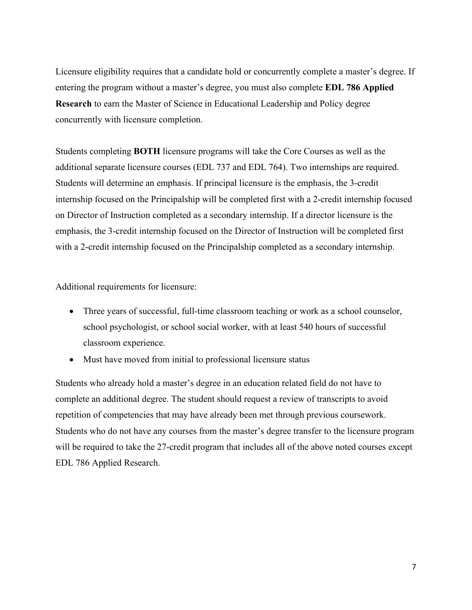Licensure eligibility requires that a candidate hold or concurrently complete a master's degree. If entering the program without a master's degree, you must also complete **EDL 786 Applied Research** to earn the Master of Science in Educational Leadership and Policy degree concurrently with licensure completion.

Students completing **BOTH** licensure programs will take the Core Courses as well as the additional separate licensure courses (EDL 737 and EDL 764). Two internships are required. Students will determine an emphasis. If principal licensure is the emphasis, the 3-credit internship focused on the Principalship will be completed first with a 2-credit internship focused on Director of Instruction completed as a secondary internship. If a director licensure is the emphasis, the 3-credit internship focused on the Director of Instruction will be completed first with a 2-credit internship focused on the Principalship completed as a secondary internship.

Additional requirements for licensure:

- Three years of successful, full-time classroom teaching or work as a school counselor, school psychologist, or school social worker, with at least 540 hours of successful classroom experience.
- Must have moved from initial to professional licensure status

Students who already hold a master's degree in an education related field do not have to complete an additional degree. The student should request a review of transcripts to avoid repetition of competencies that may have already been met through previous coursework. Students who do not have any courses from the master's degree transfer to the licensure program will be required to take the 27-credit program that includes all of the above noted courses except EDL 786 Applied Research.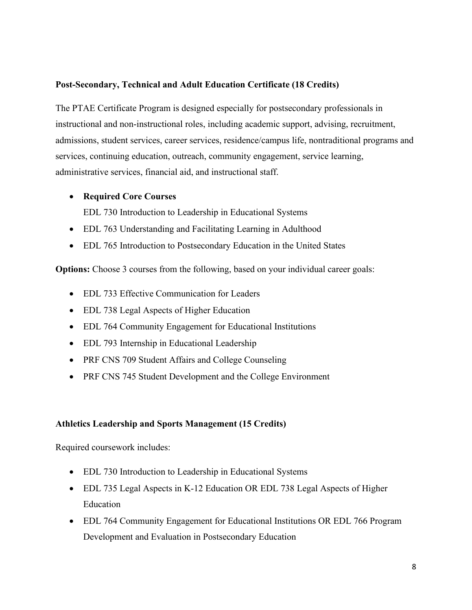## **Post-Secondary, Technical and Adult Education Certificate (18 Credits)**

The PTAE Certificate Program is designed especially for postsecondary professionals in instructional and non-instructional roles, including academic support, advising, recruitment, admissions, student services, career services, residence/campus life, nontraditional programs and services, continuing education, outreach, community engagement, service learning, administrative services, financial aid, and instructional staff.

#### • **Required Core Courses**

EDL 730 Introduction to Leadership in Educational Systems

- EDL 763 Understanding and Facilitating Learning in Adulthood
- EDL 765 Introduction to Postsecondary Education in the United States

**Options:** Choose 3 courses from the following, based on your individual career goals:

- EDL 733 Effective Communication for Leaders
- EDL 738 Legal Aspects of Higher Education
- EDL 764 Community Engagement for Educational Institutions
- EDL 793 Internship in Educational Leadership
- PRF CNS 709 Student Affairs and College Counseling
- PRF CNS 745 Student Development and the College Environment

#### **Athletics Leadership and Sports Management (15 Credits)**

Required coursework includes:

- EDL 730 Introduction to Leadership in Educational Systems
- EDL 735 Legal Aspects in K-12 Education OR EDL 738 Legal Aspects of Higher Education
- EDL 764 Community Engagement for Educational Institutions OR EDL 766 Program Development and Evaluation in Postsecondary Education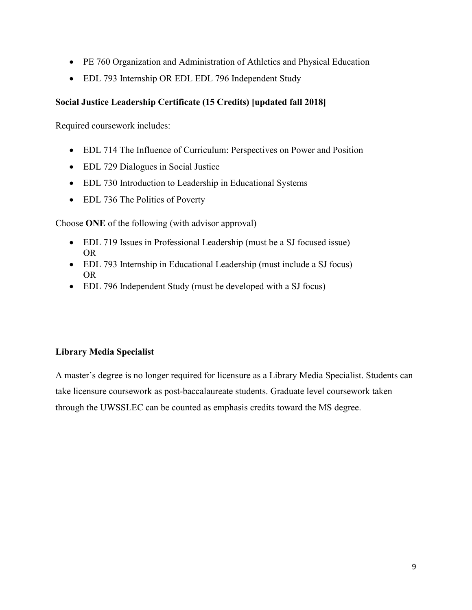- PE 760 Organization and Administration of Athletics and Physical Education
- EDL 793 Internship OR EDL EDL 796 Independent Study

## **Social Justice Leadership Certificate (15 Credits) [updated fall 2018]**

Required coursework includes:

- EDL 714 The Influence of Curriculum: Perspectives on Power and Position
- EDL 729 Dialogues in Social Justice
- EDL 730 Introduction to Leadership in Educational Systems
- EDL 736 The Politics of Poverty

Choose **ONE** of the following (with advisor approval)

- EDL 719 Issues in Professional Leadership (must be a SJ focused issue) OR
- EDL 793 Internship in Educational Leadership (must include a SJ focus) OR
- EDL 796 Independent Study (must be developed with a SJ focus)

## **Library Media Specialist**

A master's degree is no longer required for licensure as a Library Media Specialist. Students can take licensure coursework as post-baccalaureate students. Graduate level coursework taken through the UWSSLEC can be counted as emphasis credits toward the MS degree.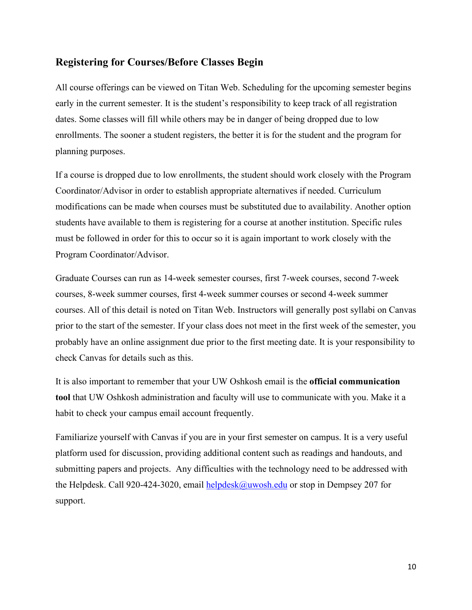## **Registering for Courses/Before Classes Begin**

All course offerings can be viewed on Titan Web. Scheduling for the upcoming semester begins early in the current semester. It is the student's responsibility to keep track of all registration dates. Some classes will fill while others may be in danger of being dropped due to low enrollments. The sooner a student registers, the better it is for the student and the program for planning purposes.

If a course is dropped due to low enrollments, the student should work closely with the Program Coordinator/Advisor in order to establish appropriate alternatives if needed. Curriculum modifications can be made when courses must be substituted due to availability. Another option students have available to them is registering for a course at another institution. Specific rules must be followed in order for this to occur so it is again important to work closely with the Program Coordinator/Advisor.

Graduate Courses can run as 14-week semester courses, first 7-week courses, second 7-week courses, 8-week summer courses, first 4-week summer courses or second 4-week summer courses. All of this detail is noted on Titan Web. Instructors will generally post syllabi on Canvas prior to the start of the semester. If your class does not meet in the first week of the semester, you probably have an online assignment due prior to the first meeting date. It is your responsibility to check Canvas for details such as this.

It is also important to remember that your UW Oshkosh email is the **official communication tool** that UW Oshkosh administration and faculty will use to communicate with you. Make it a habit to check your campus email account frequently.

Familiarize yourself with Canvas if you are in your first semester on campus. It is a very useful platform used for discussion, providing additional content such as readings and handouts, and submitting papers and projects. Any difficulties with the technology need to be addressed with the Helpdesk. Call 920-424-3020, email [helpdesk@uwosh.edu](mailto:helpdesk@uwosh.edu) or stop in Dempsey 207 for support.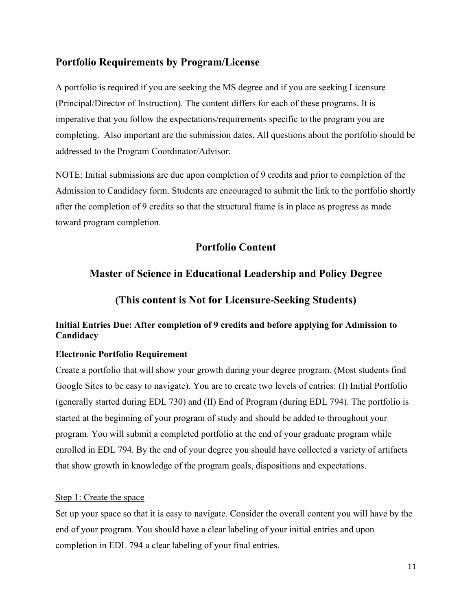## **Portfolio Requirements by Program/License**

A portfolio is required if you are seeking the MS degree and if you are seeking Licensure (Principal/Director of Instruction). The content differs for each of these programs. It is imperative that you follow the expectations/requirements specific to the program you are completing. Also important are the submission dates. All questions about the portfolio should be addressed to the Program Coordinator/Advisor.

NOTE: Initial submissions are due upon completion of 9 credits and prior to completion of the Admission to Candidacy form. Students are encouraged to submit the link to the portfolio shortly after the completion of 9 credits so that the structural frame is in place as progress as made toward program completion.

## **Portfolio Content**

## **Master of Science in Educational Leadership and Policy Degree**

**(This content is Not for Licensure-Seeking Students)**

## **Initial Entries Due: After completion of 9 credits and before applying for Admission to Candidacy**

#### **Electronic Portfolio Requirement**

Create a portfolio that will show your growth during your degree program. (Most students find Google Sites to be easy to navigate). You are to create two levels of entries: (I) Initial Portfolio (generally started during EDL 730) and (II) End of Program (during EDL 794). The portfolio is started at the beginning of your program of study and should be added to throughout your program. You will submit a completed portfolio at the end of your graduate program while enrolled in EDL 794. By the end of your degree you should have collected a variety of artifacts that show growth in knowledge of the program goals, dispositions and expectations.

#### Step 1: Create the space

Set up your space so that it is easy to navigate. Consider the overall content you will have by the end of your program. You should have a clear labeling of your initial entries and upon completion in EDL 794 a clear labeling of your final entries.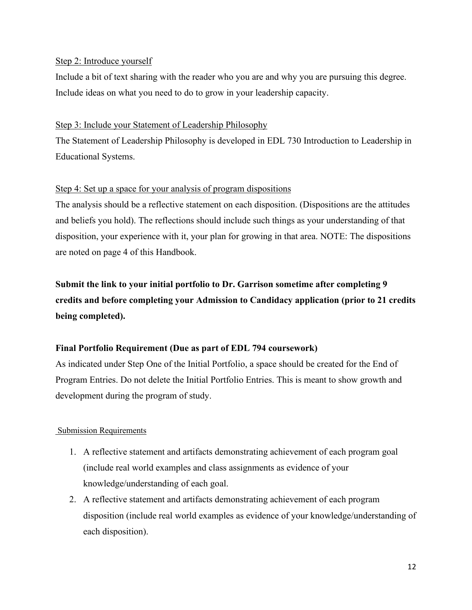#### Step 2: Introduce yourself

Include a bit of text sharing with the reader who you are and why you are pursuing this degree. Include ideas on what you need to do to grow in your leadership capacity.

#### Step 3: Include your Statement of Leadership Philosophy

The Statement of Leadership Philosophy is developed in EDL 730 Introduction to Leadership in Educational Systems.

#### Step 4: Set up a space for your analysis of program dispositions

The analysis should be a reflective statement on each disposition. (Dispositions are the attitudes and beliefs you hold). The reflections should include such things as your understanding of that disposition, your experience with it, your plan for growing in that area. NOTE: The dispositions are noted on page 4 of this Handbook.

**Submit the link to your initial portfolio to Dr. Garrison sometime after completing 9 credits and before completing your Admission to Candidacy application (prior to 21 credits being completed).** 

## **Final Portfolio Requirement (Due as part of EDL 794 coursework)**

As indicated under Step One of the Initial Portfolio, a space should be created for the End of Program Entries. Do not delete the Initial Portfolio Entries. This is meant to show growth and development during the program of study.

## Submission Requirements

- 1. A reflective statement and artifacts demonstrating achievement of each program goal (include real world examples and class assignments as evidence of your knowledge/understanding of each goal.
- 2. A reflective statement and artifacts demonstrating achievement of each program disposition (include real world examples as evidence of your knowledge/understanding of each disposition).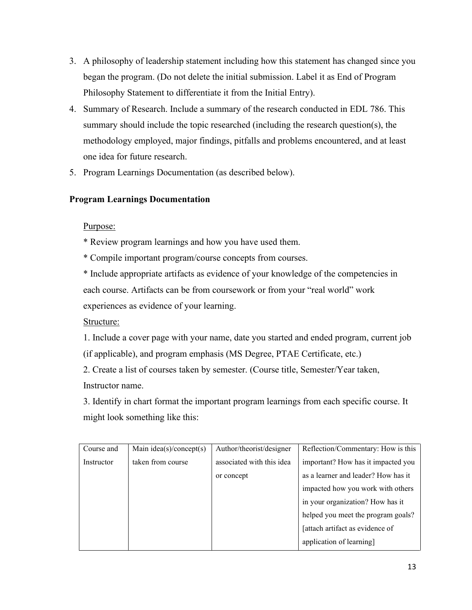- 3. A philosophy of leadership statement including how this statement has changed since you began the program. (Do not delete the initial submission. Label it as End of Program Philosophy Statement to differentiate it from the Initial Entry).
- 4. Summary of Research. Include a summary of the research conducted in EDL 786. This summary should include the topic researched (including the research question(s), the methodology employed, major findings, pitfalls and problems encountered, and at least one idea for future research.
- 5. Program Learnings Documentation (as described below).

## **Program Learnings Documentation**

## Purpose:

- \* Review program learnings and how you have used them.
- \* Compile important program/course concepts from courses.

\* Include appropriate artifacts as evidence of your knowledge of the competencies in each course. Artifacts can be from coursework or from your "real world" work experiences as evidence of your learning.

## Structure:

1. Include a cover page with your name, date you started and ended program, current job (if applicable), and program emphasis (MS Degree, PTAE Certificate, etc.)

2. Create a list of courses taken by semester. (Course title, Semester/Year taken, Instructor name.

3. Identify in chart format the important program learnings from each specific course. It might look something like this:

| Course and | Main $idea(s)/concept(s)$ | Author/theorist/designer  | Reflection/Commentary: How is this  |
|------------|---------------------------|---------------------------|-------------------------------------|
| Instructor | taken from course         | associated with this idea | important? How has it impacted you  |
|            |                           | or concept                | as a learner and leader? How has it |
|            |                           |                           | impacted how you work with others   |
|            |                           |                           | in your organization? How has it    |
|            |                           |                           | helped you meet the program goals?  |
|            |                           |                           | [attach artifact as evidence of     |
|            |                           |                           | application of learning]            |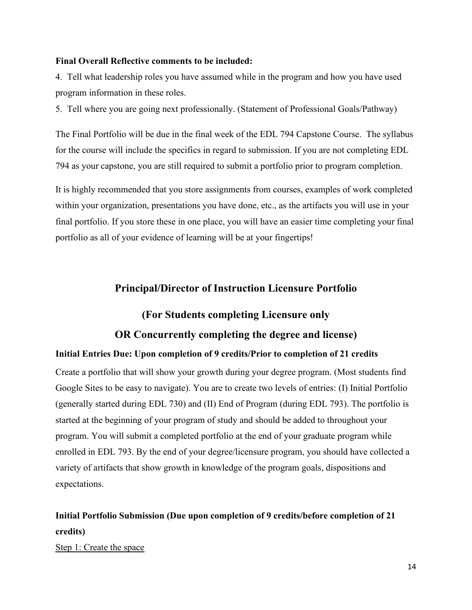#### **Final Overall Reflective comments to be included:**

4. Tell what leadership roles you have assumed while in the program and how you have used program information in these roles.

5. Tell where you are going next professionally. (Statement of Professional Goals/Pathway)

The Final Portfolio will be due in the final week of the EDL 794 Capstone Course. The syllabus for the course will include the specifics in regard to submission. If you are not completing EDL 794 as your capstone, you are still required to submit a portfolio prior to program completion.

It is highly recommended that you store assignments from courses, examples of work completed within your organization, presentations you have done, etc., as the artifacts you will use in your final portfolio. If you store these in one place, you will have an easier time completing your final portfolio as all of your evidence of learning will be at your fingertips!

## **Principal/Director of Instruction Licensure Portfolio**

## **(For Students completing Licensure only**

#### **OR Concurrently completing the degree and license)**

#### **Initial Entries Due: Upon completion of 9 credits/Prior to completion of 21 credits**

Create a portfolio that will show your growth during your degree program. (Most students find Google Sites to be easy to navigate). You are to create two levels of entries: (I) Initial Portfolio (generally started during EDL 730) and (II) End of Program (during EDL 793). The portfolio is started at the beginning of your program of study and should be added to throughout your program. You will submit a completed portfolio at the end of your graduate program while enrolled in EDL 793. By the end of your degree/licensure program, you should have collected a variety of artifacts that show growth in knowledge of the program goals, dispositions and expectations.

# **Initial Portfolio Submission (Due upon completion of 9 credits/before completion of 21 credits)**

Step 1: Create the space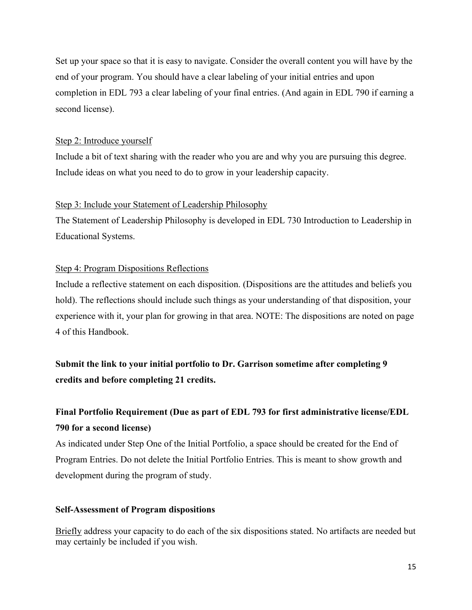Set up your space so that it is easy to navigate. Consider the overall content you will have by the end of your program. You should have a clear labeling of your initial entries and upon completion in EDL 793 a clear labeling of your final entries. (And again in EDL 790 if earning a second license).

#### Step 2: Introduce yourself

Include a bit of text sharing with the reader who you are and why you are pursuing this degree. Include ideas on what you need to do to grow in your leadership capacity.

#### Step 3: Include your Statement of Leadership Philosophy

The Statement of Leadership Philosophy is developed in EDL 730 Introduction to Leadership in Educational Systems.

#### Step 4: Program Dispositions Reflections

Include a reflective statement on each disposition. (Dispositions are the attitudes and beliefs you hold). The reflections should include such things as your understanding of that disposition, your experience with it, your plan for growing in that area. NOTE: The dispositions are noted on page 4 of this Handbook.

**Submit the link to your initial portfolio to Dr. Garrison sometime after completing 9 credits and before completing 21 credits.**

# **Final Portfolio Requirement (Due as part of EDL 793 for first administrative license/EDL 790 for a second license)**

As indicated under Step One of the Initial Portfolio, a space should be created for the End of Program Entries. Do not delete the Initial Portfolio Entries. This is meant to show growth and development during the program of study.

#### **Self-Assessment of Program dispositions**

Briefly address your capacity to do each of the six dispositions stated. No artifacts are needed but may certainly be included if you wish.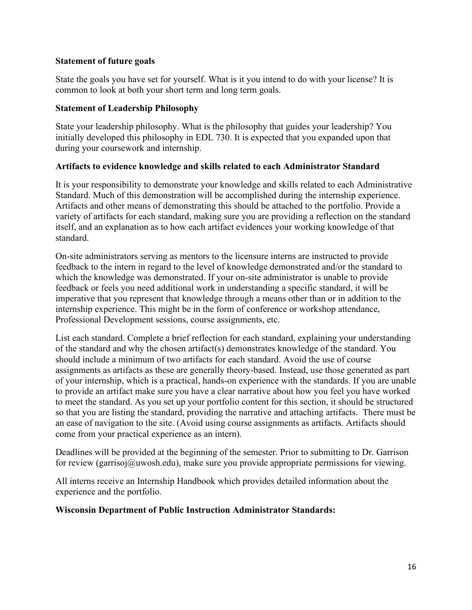## **Statement of future goals**

State the goals you have set for yourself. What is it you intend to do with your license? It is common to look at both your short term and long term goals.

#### **Statement of Leadership Philosophy**

State your leadership philosophy. What is the philosophy that guides your leadership? You initially developed this philosophy in EDL 730. It is expected that you expanded upon that during your coursework and internship.

#### **Artifacts to evidence knowledge and skills related to each Administrator Standard**

It is your responsibility to demonstrate your knowledge and skills related to each Administrative Standard. Much of this demonstration will be accomplished during the internship experience. Artifacts and other means of demonstrating this should be attached to the portfolio. Provide a variety of artifacts for each standard, making sure you are providing a reflection on the standard itself, and an explanation as to how each artifact evidences your working knowledge of that standard.

On-site administrators serving as mentors to the licensure interns are instructed to provide feedback to the intern in regard to the level of knowledge demonstrated and/or the standard to which the knowledge was demonstrated. If your on-site administrator is unable to provide feedback or feels you need additional work in understanding a specific standard, it will be imperative that you represent that knowledge through a means other than or in addition to the internship experience. This might be in the form of conference or workshop attendance, Professional Development sessions, course assignments, etc.

List each standard. Complete a brief reflection for each standard, explaining your understanding of the standard and why the chosen artifact(s) demonstrates knowledge of the standard. You should include a minimum of two artifacts for each standard. Avoid the use of course assignments as artifacts as these are generally theory-based. Instead, use those generated as part of your internship, which is a practical, hands-on experience with the standards. If you are unable to provide an artifact make sure you have a clear narrative about how you feel you have worked to meet the standard. As you set up your portfolio content for this section, it should be structured so that you are listing the standard, providing the narrative and attaching artifacts. There must be an ease of navigation to the site. (Avoid using course assignments as artifacts. Artifacts should come from your practical experience as an intern).

Deadlines will be provided at the beginning of the semester. Prior to submitting to Dr. Garrison for review (garrisoj@uwosh.edu), make sure you provide appropriate permissions for viewing.

All interns receive an Internship Handbook which provides detailed information about the experience and the portfolio.

#### **Wisconsin Department of Public Instruction Administrator Standards:**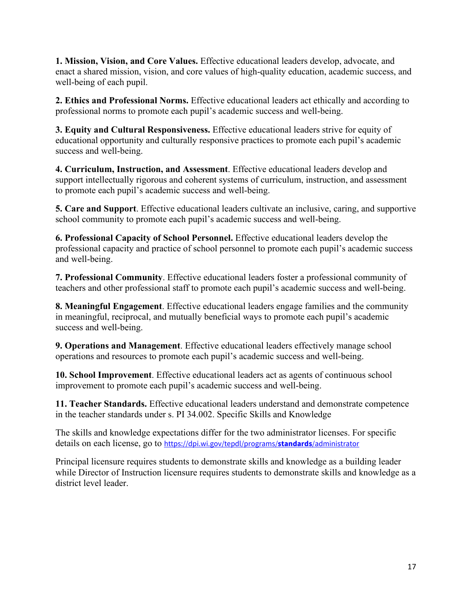**1. Mission, Vision, and Core Values.** Effective educational leaders develop, advocate, and enact a shared mission, vision, and core values of high-quality education, academic success, and well-being of each pupil.

**2. Ethics and Professional Norms.** Effective educational leaders act ethically and according to professional norms to promote each pupil's academic success and well-being.

**3. Equity and Cultural Responsiveness.** Effective educational leaders strive for equity of educational opportunity and culturally responsive practices to promote each pupil's academic success and well-being.

**4. Curriculum, Instruction, and Assessment**. Effective educational leaders develop and support intellectually rigorous and coherent systems of curriculum, instruction, and assessment to promote each pupil's academic success and well-being.

**5. Care and Support**. Effective educational leaders cultivate an inclusive, caring, and supportive school community to promote each pupil's academic success and well-being.

**6. Professional Capacity of School Personnel.** Effective educational leaders develop the professional capacity and practice of school personnel to promote each pupil's academic success and well-being.

**7. Professional Community**. Effective educational leaders foster a professional community of teachers and other professional staff to promote each pupil's academic success and well-being.

**8. Meaningful Engagement**. Effective educational leaders engage families and the community in meaningful, reciprocal, and mutually beneficial ways to promote each pupil's academic success and well-being.

**9. Operations and Management**. Effective educational leaders effectively manage school operations and resources to promote each pupil's academic success and well-being.

**10. School Improvement**. Effective educational leaders act as agents of continuous school improvement to promote each pupil's academic success and well-being.

**11. Teacher Standards.** Effective educational leaders understand and demonstrate competence in the teacher standards under s. PI 34.002. Specific Skills and Knowledge

The skills and knowledge expectations differ for the two administrator licenses. For specific details on each license, go to [https://dpi.wi.gov/tepdl/programs/](https://dpi.wi.gov/tepdl/programs/standards/administrator)**standards**/administrator

Principal licensure requires students to demonstrate skills and knowledge as a building leader while Director of Instruction licensure requires students to demonstrate skills and knowledge as a district level leader.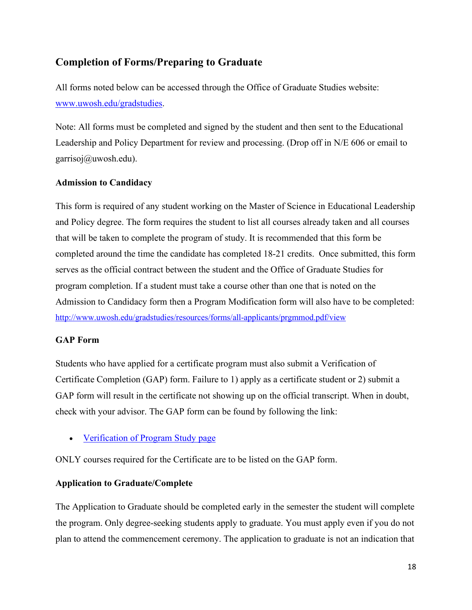# **Completion of Forms/Preparing to Graduate**

All forms noted below can be accessed through the Office of Graduate Studies website: [www.uwosh.edu/gradstudies.](http://www.uwosh.edu/gradstudies)

Note: All forms must be completed and signed by the student and then sent to the Educational Leadership and Policy Department for review and processing. (Drop off in N/E 606 or email to garrisoj@uwosh.edu).

#### **Admission to Candidacy**

This form is required of any student working on the Master of Science in Educational Leadership and Policy degree. The form requires the student to list all courses already taken and all courses that will be taken to complete the program of study. It is recommended that this form be completed around the time the candidate has completed 18-21 credits. Once submitted, this form serves as the official contract between the student and the Office of Graduate Studies for program completion. If a student must take a course other than one that is noted on the Admission to Candidacy form then a Program Modification form will also have to be completed: <http://www.uwosh.edu/gradstudies/resources/forms/all-applicants/prgmmod.pdf/view>

#### **GAP Form**

Students who have applied for a certificate program must also submit a Verification of Certificate Completion (GAP) form. Failure to 1) apply as a certificate student or 2) submit a GAP form will result in the certificate not showing up on the official transcript. When in doubt, check with your advisor. The GAP form can be found by following the link:

• [Verification of Program Study page](https://www.uwosh.edu/gradstudies/forms-and-policies/forms/all-applicants/admission-to-candidacy)

ONLY courses required for the Certificate are to be listed on the GAP form.

## **Application to Graduate/Complete**

The Application to Graduate should be completed early in the semester the student will complete the program. Only degree-seeking students apply to graduate. You must apply even if you do not plan to attend the commencement ceremony. The application to graduate is not an indication that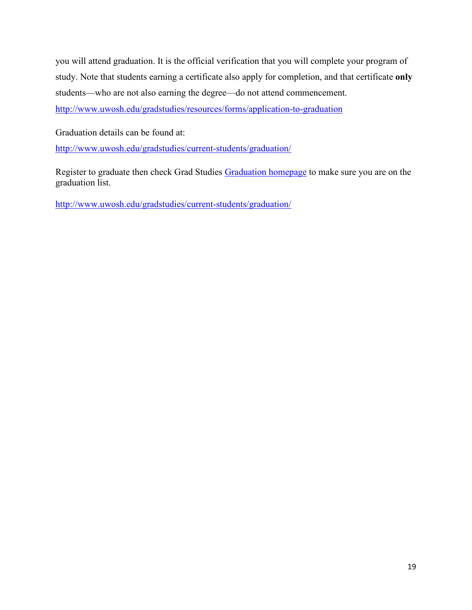you will attend graduation. It is the official verification that you will complete your program of study. Note that students earning a certificate also apply for completion, and that certificate **only** students—who are not also earning the degree—do not attend commencement[.](http://www.uwosh.edu/gradstudies/resources/forms/application-to-graduation)

<http://www.uwosh.edu/gradstudies/resources/forms/application-to-graduation>

Graduation details can be found at[:](http://www.uwosh.edu/gradstudies/current-students/graduation/)

<http://www.uwosh.edu/gradstudies/current-students/graduation/>

Register to graduate then check Grad Studies [Graduation homepage](http://www.uwosh.edu/gradstudies/current-students/graduation/) to make sure you are on the graduation list.

<http://www.uwosh.edu/gradstudies/current-students/graduation/>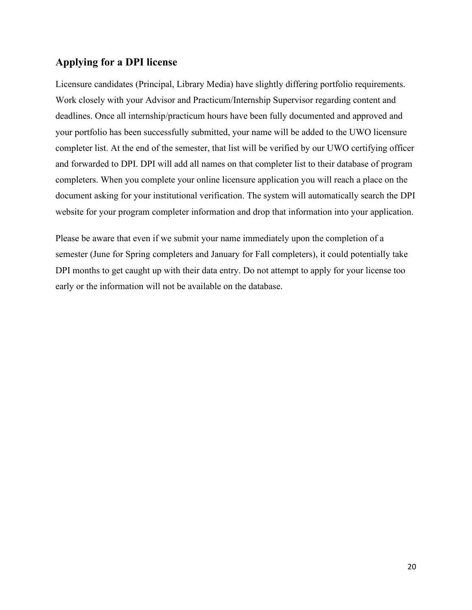## **Applying for a DPI license**

Licensure candidates (Principal, Library Media) have slightly differing portfolio requirements. Work closely with your Advisor and Practicum/Internship Supervisor regarding content and deadlines. Once all internship/practicum hours have been fully documented and approved and your portfolio has been successfully submitted, your name will be added to the UWO licensure completer list. At the end of the semester, that list will be verified by our UWO certifying officer and forwarded to DPI. DPI will add all names on that completer list to their database of program completers. When you complete your online licensure application you will reach a place on the document asking for your institutional verification. The system will automatically search the DPI website for your program completer information and drop that information into your application.

Please be aware that even if we submit your name immediately upon the completion of a semester (June for Spring completers and January for Fall completers), it could potentially take DPI months to get caught up with their data entry. Do not attempt to apply for your license too early or the information will not be available on the database.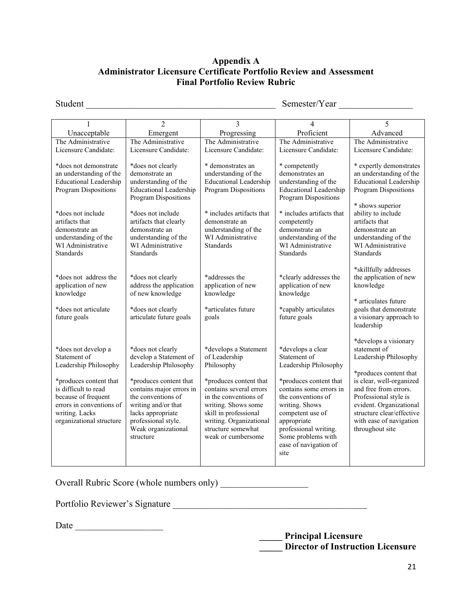## **Appendix A Administrator Licensure Certificate Portfolio Review and Assessment Final Portfolio Review Rubric**

Student \_\_\_\_\_\_\_\_\_\_\_\_\_\_\_\_\_\_\_\_\_\_\_\_\_\_\_\_\_\_\_\_\_\_\_\_\_\_\_\_\_ Semester/Year \_\_\_\_\_\_\_\_\_\_\_\_\_\_\_\_

|                                                                                                                                                                                                                                     | $\overline{2}$                                                                                                                                                                                                                                          | 3                                                                                                                                                                                                                                                         | 4                                                                                                                                                                                                                                                                          | 5                                                                                                                                                                                                                                                                            |
|-------------------------------------------------------------------------------------------------------------------------------------------------------------------------------------------------------------------------------------|---------------------------------------------------------------------------------------------------------------------------------------------------------------------------------------------------------------------------------------------------------|-----------------------------------------------------------------------------------------------------------------------------------------------------------------------------------------------------------------------------------------------------------|----------------------------------------------------------------------------------------------------------------------------------------------------------------------------------------------------------------------------------------------------------------------------|------------------------------------------------------------------------------------------------------------------------------------------------------------------------------------------------------------------------------------------------------------------------------|
| Unacceptable                                                                                                                                                                                                                        | Emergent                                                                                                                                                                                                                                                | Progressing                                                                                                                                                                                                                                               | Proficient                                                                                                                                                                                                                                                                 | Advanced                                                                                                                                                                                                                                                                     |
| The Administrative                                                                                                                                                                                                                  | The Administrative                                                                                                                                                                                                                                      | The Administrative                                                                                                                                                                                                                                        | The Administrative                                                                                                                                                                                                                                                         | The Administrative                                                                                                                                                                                                                                                           |
| Licensure Candidate:                                                                                                                                                                                                                | Licensure Candidate:                                                                                                                                                                                                                                    | Licensure Candidate:                                                                                                                                                                                                                                      | Licensure Candidate:                                                                                                                                                                                                                                                       | Licensure Candidate:                                                                                                                                                                                                                                                         |
| *does not demonstrate<br>an understanding of the<br><b>Educational Leadership</b><br>Program Dispositions<br>*does not include<br>artifacts that<br>demonstrate an<br>understanding of the<br>WI Administrative<br><b>Standards</b> | *does not clearly<br>demonstrate an<br>understanding of the<br><b>Educational Leadership</b><br>Program Dispositions<br>*does not include<br>artifacts that clearly<br>demonstrate an<br>understanding of the<br>WI Administrative<br><b>Standards</b>  | * demonstrates an<br>understanding of the<br><b>Educational Leadership</b><br>Program Dispositions<br>* includes artifacts that<br>demonstrate an<br>understanding of the<br>WI Administrative<br><b>Standards</b>                                        | * competently<br>demonstrates an<br>understanding of the<br><b>Educational Leadership</b><br>Program Dispositions<br>* includes artifacts that<br>competently<br>demonstrate an<br>understanding of the<br>WI Administrative<br><b>Standards</b>                           | * expertly demonstrates<br>an understanding of the<br><b>Educational Leadership</b><br>Program Dispositions<br>* shows superior<br>ability to include<br>artifacts that<br>demonstrate an<br>understanding of the<br>WI Administrative<br><b>Standards</b>                   |
| *does not address the<br>application of new<br>knowledge<br>*does not articulate<br>future goals                                                                                                                                    | *does not clearly<br>address the application<br>of new knowledge<br>*does not clearly<br>articulate future goals                                                                                                                                        | *addresses the<br>application of new<br>knowledge<br>*articulates future<br>goals                                                                                                                                                                         | *clearly addresses the<br>application of new<br>knowledge<br>*capably articulates<br>future goals                                                                                                                                                                          | *skillfully addresses<br>the application of new<br>knowledge<br>* articulates future<br>goals that demonstrate<br>a visionary approach to<br>leadership                                                                                                                      |
| *does not develop a<br>Statement of<br>Leadership Philosophy<br>*produces content that<br>is difficult to read<br>because of frequent<br>errors in conventions of<br>writing. Lacks<br>organizational structure                     | *does not clearly<br>develop a Statement of<br>Leadership Philosophy<br>*produces content that<br>contains major errors in<br>the conventions of<br>writing and/or that<br>lacks appropriate<br>professional style.<br>Weak organizational<br>structure | *develops a Statement<br>of Leadership<br>Philosophy<br>*produces content that<br>contains several errors<br>in the conventions of<br>writing. Shows some<br>skill in professional<br>writing. Organizational<br>structure somewhat<br>weak or cumbersome | *develops a clear<br>Statement of<br>Leadership Philosophy<br>*produces content that<br>contains some errors in<br>the conventions of<br>writing. Shows<br>competent use of<br>appropriate<br>professional writing.<br>Some problems with<br>ease of navigation of<br>site | *develops a visionary<br>statement of<br>Leadership Philosophy<br>*produces content that<br>is clear, well-organized<br>and free from errors.<br>Professional style is<br>evident. Organizational<br>structure clear/effective<br>with ease of navigation<br>throughout site |

Overall Rubric Score (whole numbers only)

Portfolio Reviewer's Signature \_\_\_\_\_\_\_\_\_\_\_\_\_\_\_\_\_\_\_\_\_\_\_\_\_\_\_\_\_\_\_\_\_\_\_\_\_\_\_\_\_\_

Date \_\_\_\_\_\_\_\_\_\_\_\_\_\_\_\_\_\_\_

 **\_\_\_\_\_ Principal Licensure \_\_\_\_\_ Director of Instruction Licensure**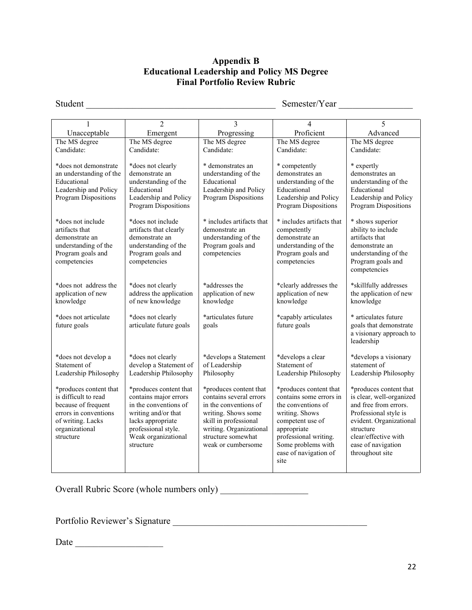## **Appendix B Educational Leadership and Policy MS Degree Final Portfolio Review Rubric**

Student \_\_\_\_\_\_\_\_\_\_\_\_\_\_\_\_\_\_\_\_\_\_\_\_\_\_\_\_\_\_\_\_\_\_\_\_\_\_\_\_\_ Semester/Year \_\_\_\_\_\_\_\_\_\_\_\_\_\_\_\_

|                                                                                                                                                    | $\overline{2}$                                                                                                                                                                  | 3                                                                                                                                                                                                 | 4                                                                                                                                                                                                            | 5                                                                                                                                                                                                             |
|----------------------------------------------------------------------------------------------------------------------------------------------------|---------------------------------------------------------------------------------------------------------------------------------------------------------------------------------|---------------------------------------------------------------------------------------------------------------------------------------------------------------------------------------------------|--------------------------------------------------------------------------------------------------------------------------------------------------------------------------------------------------------------|---------------------------------------------------------------------------------------------------------------------------------------------------------------------------------------------------------------|
| Unacceptable                                                                                                                                       | Emergent                                                                                                                                                                        | Progressing                                                                                                                                                                                       | Proficient                                                                                                                                                                                                   | Advanced                                                                                                                                                                                                      |
| The MS degree                                                                                                                                      | The MS degree                                                                                                                                                                   | The MS degree                                                                                                                                                                                     | The MS degree                                                                                                                                                                                                | The MS degree                                                                                                                                                                                                 |
| Candidate:                                                                                                                                         | Candidate:                                                                                                                                                                      | Candidate:                                                                                                                                                                                        | Candidate:                                                                                                                                                                                                   | Candidate:                                                                                                                                                                                                    |
| *does not demonstrate<br>an understanding of the<br>Educational<br>Leadership and Policy<br>Program Dispositions                                   | *does not clearly<br>demonstrate an<br>understanding of the<br>Educational<br>Leadership and Policy<br>Program Dispositions                                                     | * demonstrates an<br>understanding of the<br>Educational<br>Leadership and Policy<br><b>Program Dispositions</b>                                                                                  | * competently<br>demonstrates an<br>understanding of the<br>Educational<br>Leadership and Policy<br><b>Program Dispositions</b>                                                                              | * expertly<br>demonstrates an<br>understanding of the<br>Educational<br>Leadership and Policy<br>Program Dispositions                                                                                         |
| *does not include<br>artifacts that<br>demonstrate an<br>understanding of the<br>Program goals and<br>competencies                                 | *does not include<br>artifacts that clearly<br>demonstrate an<br>understanding of the<br>Program goals and<br>competencies                                                      | * includes artifacts that<br>demonstrate an<br>understanding of the<br>Program goals and<br>competencies                                                                                          | * includes artifacts that<br>competently<br>demonstrate an<br>understanding of the<br>Program goals and<br>competencies                                                                                      | * shows superior<br>ability to include<br>artifacts that<br>demonstrate an<br>understanding of the<br>Program goals and<br>competencies                                                                       |
| *does not address the<br>application of new<br>knowledge                                                                                           | *does not clearly<br>address the application<br>of new knowledge                                                                                                                | *addresses the<br>application of new<br>knowledge                                                                                                                                                 | *clearly addresses the<br>application of new<br>knowledge                                                                                                                                                    | *skillfully addresses<br>the application of new<br>knowledge                                                                                                                                                  |
| *does not articulate<br>future goals                                                                                                               | *does not clearly<br>articulate future goals                                                                                                                                    | *articulates future<br>goals                                                                                                                                                                      | *capably articulates<br>future goals                                                                                                                                                                         | * articulates future<br>goals that demonstrate<br>a visionary approach to<br>leadership                                                                                                                       |
| *does not develop a<br>Statement of<br>Leadership Philosophy                                                                                       | *does not clearly<br>develop a Statement of<br>Leadership Philosophy                                                                                                            | *develops a Statement<br>of Leadership<br>Philosophy                                                                                                                                              | *develops a clear<br>Statement of<br>Leadership Philosophy                                                                                                                                                   | *develops a visionary<br>statement of<br>Leadership Philosophy                                                                                                                                                |
| *produces content that<br>is difficult to read<br>because of frequent<br>errors in conventions<br>of writing. Lacks<br>organizational<br>structure | *produces content that<br>contains major errors<br>in the conventions of<br>writing and/or that<br>lacks appropriate<br>professional style.<br>Weak organizational<br>structure | *produces content that<br>contains several errors<br>in the conventions of<br>writing. Shows some<br>skill in professional<br>writing. Organizational<br>structure somewhat<br>weak or cumbersome | *produces content that<br>contains some errors in<br>the conventions of<br>writing. Shows<br>competent use of<br>appropriate<br>professional writing.<br>Some problems with<br>ease of navigation of<br>site | *produces content that<br>is clear, well-organized<br>and free from errors.<br>Professional style is<br>evident. Organizational<br>structure<br>clear/effective with<br>ease of navigation<br>throughout site |

Overall Rubric Score (whole numbers only) \_\_\_\_\_\_\_\_\_\_\_\_\_\_\_\_\_\_\_

Portfolio Reviewer's Signature \_\_\_\_\_\_\_\_\_\_\_\_\_\_\_\_\_\_\_\_\_\_\_\_\_\_\_\_\_\_\_\_\_\_\_\_\_\_\_\_\_\_

Date \_\_\_\_\_\_\_\_\_\_\_\_\_\_\_\_\_\_\_